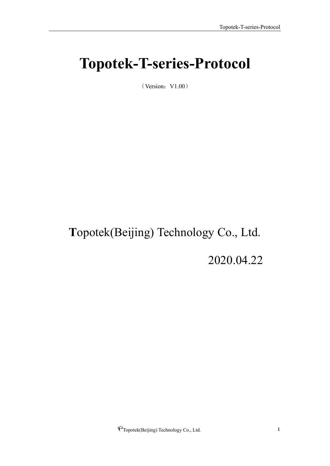# <span id="page-0-0"></span>**Topotek-T-series-Protocol**

 $(Version:V1.00)$ 

# **T**opotek(Beijing) Technology Co., Ltd.

2020.04.22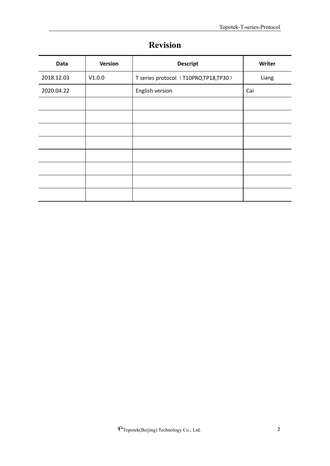<span id="page-1-0"></span>

| Data       | Version | <b>Descript</b>                      | Writer |
|------------|---------|--------------------------------------|--------|
| 2018.12.03 | V1.0.0  | T series protocol (T10PRO,TP18,TP30) | Liang  |
| 2020.04.22 |         | English version                      | Cai    |
|            |         |                                      |        |
|            |         |                                      |        |
|            |         |                                      |        |
|            |         |                                      |        |
|            |         |                                      |        |
|            |         |                                      |        |
|            |         |                                      |        |
|            |         |                                      |        |

# **Revision**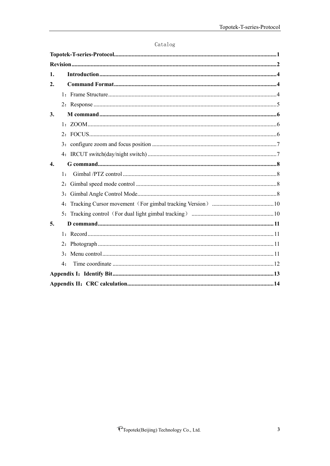| Catalog |  |
|---------|--|
|---------|--|

| 1.                 |                |  |
|--------------------|----------------|--|
| $\overline{2}$ .   |                |  |
|                    |                |  |
|                    |                |  |
| 3.                 |                |  |
|                    |                |  |
|                    |                |  |
|                    |                |  |
|                    |                |  |
| $\boldsymbol{4}$ . |                |  |
|                    | 1:             |  |
|                    |                |  |
|                    |                |  |
|                    |                |  |
|                    |                |  |
| 5.                 |                |  |
|                    |                |  |
|                    |                |  |
|                    | 3 <sub>1</sub> |  |
|                    | 4:             |  |
|                    |                |  |
|                    |                |  |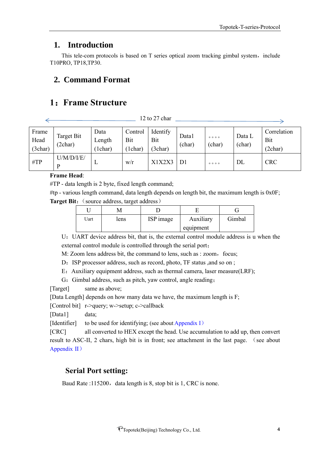$\Rightarrow$ 

## <span id="page-3-0"></span>**1. Introduction**

This tele-com protocols is based on T series optical zoom tracking gimbal system, include T10PRO, TP18,TP30.

## <span id="page-3-1"></span>**2. Command Format**

## <span id="page-3-2"></span>**1**:**Frame Structure**

12 to 27 char

| Frame<br>Head<br>(3char) | Target Bit<br>(2char) | Data<br>Length<br>1char) | Control<br>Bit<br>1char | Identify<br>Bit<br>(3char) | Data l<br>(char) | 0000<br>(char) | Data L<br>(char) | Correlation<br>Bit<br>(2char) |
|--------------------------|-----------------------|--------------------------|-------------------------|----------------------------|------------------|----------------|------------------|-------------------------------|
| $\#TP$                   | U/M/D/ I/E/<br>D      | ┻                        | W/r                     | X1X2X3                     | D <sub>1</sub>   | 0000           | DL               | <b>CRC</b>                    |

#### **Frame Head**:

#TP - data length is 2 byte, fixed length command;

#tp - various length command, data length depends on length bit, the maximum length is 0x0F; **Target Bit:** (source address, target address)

| Uart | lens | ISP image | Auxiliary | Gimbal |
|------|------|-----------|-----------|--------|
|      |      |           | equipment |        |

U: UART device address bit, that is, the external control module address is u when the external control module is controlled through the serial port;

M: Zoom lens address bit, the command to lens, such as : zoom, focus;

D: ISP processor address, such as record, photo, TF status , and so on ;

E: Auxiliary equipment address, such as thermal camera, laser measure(LRF);

G: Gimbal address, such as pitch, yaw control, angle reading;

[Target] same as above;

[Data Length] depends on how many data we have, the maximum length is F;

[Control bit] r->query; w->setup; c->callback

[Data1] data;

[Identifier] to be used for identifying; (see about Appendix I)

[CRC] all converted to HEX except the head. Use accumulation to add up, then convert result to ASC-II, 2 chars, high bit is in front; see attachment in the last page. (see about Appendix II)

## **Serial Port setting:**

Baud Rate :115200, data length is 8, stop bit is 1, CRC is none.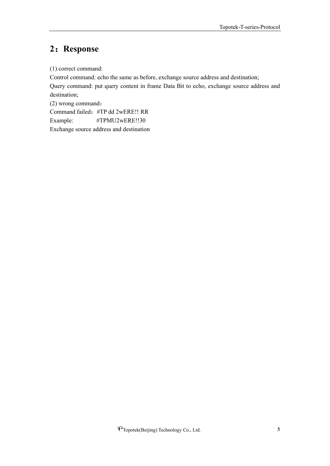# <span id="page-4-0"></span>**2**:**Response**

(1) correct command:

Control command: echo the same as before, exchange source address and destination; Query command: put query content in frame Data Bit to echo, exchange source address and destination;

(2) wrong command: Command failed:#TP dd 2wERE!! RR Example: #TPMU2wERE!!30 Exchange source address and destination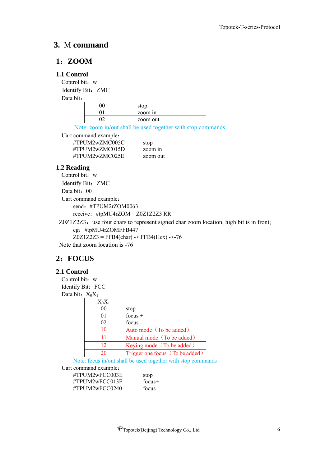## <span id="page-5-0"></span>**3.** M **command**

## <span id="page-5-1"></span>**1**:**ZOOM**

#### **1.1 Control**

Control bit: w Identify Bit: ZMC

Data bit:

| stop     |
|----------|
| zoom in  |
| zoom out |

Note: zoom in/out shall be used together with stop commands

Uart command example:

| #TPUM2wZMC005C | stop     |
|----------------|----------|
| #TPUM2wZMC015D | zoom in  |
| #TPUM2wZMC025E | zoom out |

#### **1.2 Reading**

Control bit: w Identify Bit: ZMC Data bit: 00 Uart command example: send: #TPUM2rZOM0063 receive:#tpMU4rZOM Z0Z1Z2Z3 RR

Z0Z1Z2Z3: use four chars to represent signed char zoom location, high bit is in front; eg:#tpMU4rZOMFFB447  $Z0Z1Z2Z3 = FFB4(char)$  ->  $FFB4(Hex)$  ->-76

Note that zoom location is -76

## <span id="page-5-2"></span>**2**:**FOCUS**

#### **2.1 Control**

Control bit: w Identify Bit: FCC Data bit:  $X_0X_1$ 

| $X_0X_1$ |                                 |
|----------|---------------------------------|
| 00       | stop                            |
| 01       | focus $+$                       |
| 02       | focus -                         |
| 10       | Auto mode (To be added)         |
| 11       | Manual mode (To be added)       |
| 12       | Keying mode (To be added)       |
| 20       | Trigger one focus (To be added) |

Note: focus in/out shall be used together with stop commands

Uart command example:

#TPUM2wFCC003E stop #TPUM2wFCC013F focus+ #TPUM2wFCC0240 focus-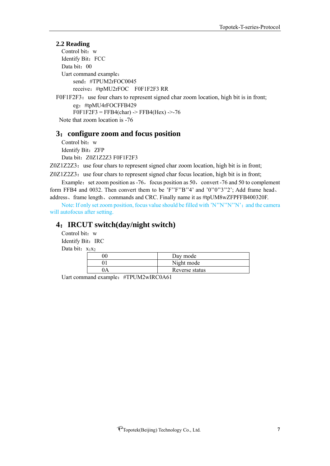#### **2.2 Reading**

Control bit: w Identify Bit: FCC Data bit: 00 Uart command example: send:#TPUM2rFOC0045 receive:#tpMU2rFOC F0F1F2F3 RR

F0F1F2F3: use four chars to represent signed char zoom location, high bit is in front; eg:#tpMU4rFOCFFB429  $F0F1F2F3 = FFB4(char) \rightarrow FFB4(Hex) \rightarrow 76$ Note that zoom location is -76

#### <span id="page-6-0"></span>**3**:**configure zoom and focus position**

Control bit: w Identify Bit: ZFP Data bit: Z0Z1Z2Z3 F0F1F2F3

 $Z0Z1Z2Z3$ : use four chars to represent signed char zoom location, high bit is in front;

 $Z0Z1Z2Z3$ : use four chars to represent signed char focus location, high bit is in front; Example: set zoom position as  $-76$ , focus position as  $50$ , convert  $-76$  and  $50$  to complement

form FFB4 and 0032. Then convert them to be 'F''F''B"4' and '0"0"3"2'; Add frame head. address、frame length、commands and CRC. Finally name it as #tpUM8wZFPFFB400320F.

Note: If only set zoom position, focus value should be filled with 'N''N''N''N'; and the camera will autofocus after setting.

## <span id="page-6-1"></span>**4**:**IRCUT switch(day/night switch)**

Control bit: w Identify Bit: IRC Data bit:  $x_1x_2$ 

| Day mode       |
|----------------|
| Night mode     |
| Reverse status |

Uart command example: #TPUM2wIRC0A61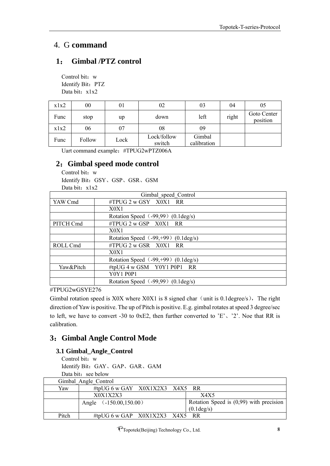## <span id="page-7-0"></span>4. G **command**

## <span id="page-7-1"></span>**1**: **Gimbal /PTZ control**

Control bit: w Identify Bit: PTZ Data bit: x1x2

| x1x2 | 00     | 01   | 02                    | 03                    | 04    | 05                      |
|------|--------|------|-----------------------|-----------------------|-------|-------------------------|
| Func | stop   | up   | down                  | left                  | right | Goto Center<br>position |
| x1x2 | 06     | 07   | 08                    | 09                    |       |                         |
| Func | Follow | Lock | Lock/follow<br>switch | Gimbal<br>calibration |       |                         |

Uart command example:#TPUG2wPTZ006A

## <span id="page-7-2"></span>**2**:**Gimbal speed mode control**

Control bit: w Identify Bit:GSY、GSP、GSR、GSM Data bit: x1x2

|           | Gimbal speed Control                           |
|-----------|------------------------------------------------|
| YAW Cmd   | #TPUG 2 w GSY X0X1 RR                          |
|           | X0X1                                           |
|           | Rotation Speed (-99,99) (0.1 deg/s)            |
| PITCH Cmd | $\#TPUG$ 2 w GSP $X0X1$ RR                     |
|           | X0X1                                           |
|           | Rotation Speed $(-99, +99)$ (0.1 deg/s)        |
| ROLL Cmd  | $\#TPUG$ 2 w GSR $X0X1$ RR                     |
|           | X0X1                                           |
|           | Rotation Speed $(-99, +99)$ (0.1 deg/s)        |
| Yaw&Pitch | #tpUG 4 w GSM Y0Y1 P0P1 RR                     |
|           | <b>Y0Y1 P0P1</b>                               |
|           | Rotation Speed $(-99,99)$ $(0.1 \text{deg/s})$ |

#TPUG2wGSYE276

Gimbal rotation speed is X0X where X0X1 is 8 signed char (unit is 0.1degree/s), The right direction of Yaw is positive. The up of Pitch is positive. E.g. gimbal rotates at speed 3 degree/sec to left, we have to convert -30 to 0xE2, then further converted to 'E'、'2'. Noe that RR is calibration.

## <span id="page-7-3"></span>**3**:**Gimbal Angle Control Mode**

## **3.1 Gimbal\_Angle\_Control**

Control bit: w Identify Bit:GAY、GAP、GAR、GAM Data bit: see below

| X0X1X2X3                  |                      | X4X5                                                                 |
|---------------------------|----------------------|----------------------------------------------------------------------|
| Angle $(.150.00, 150.00)$ |                      | Rotation Speed is $(0,99)$ with precision                            |
|                           |                      | $(0.1 \text{deg/s})$                                                 |
|                           |                      |                                                                      |
|                           | Gimbal Angle Control | #tpUG 6 w GAY $X0X1X2X3$ X4X5 RR<br>#tpUG 6 w GAP $X0X1X2X3$ X4X5 RR |

PTopotek(Beijing) Technology Co., Ltd. 8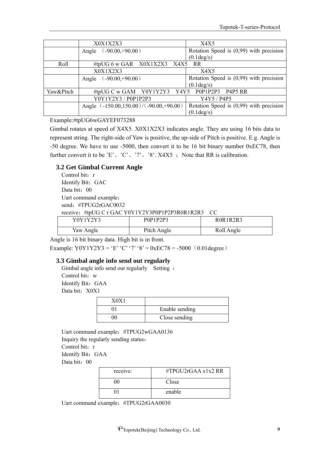|           | X0X1X2X3                                     | X4X5                                      |
|-----------|----------------------------------------------|-------------------------------------------|
|           | $(.90.00,+90.00)$<br>Angle                   | Rotation Speed is $(0,99)$ with precision |
|           |                                              | $(0.1 \text{deg/s})$                      |
| Roll      | #tpUG 6 w GAR $X0X1X2X3$ X4X5 RR             |                                           |
|           | X0X1X2X3                                     | X4X5                                      |
|           | $(.90.00,+90.00)$<br>Angle                   | Rotation Speed is $(0,99)$ with precision |
|           |                                              | $(0.1 \text{deg/s})$                      |
| Yaw&Pitch | #tpUG C w GAM Y0Y1Y2Y3 Y4Y5 P0P1P2P3 P4P5 RR |                                           |
|           | Y0Y1Y2Y3 / P0P1P2P3                          | Y4Y5 / P4P5                               |
|           | Angle (-150.00,150.00)/(-90.00,+90.00)       | Rotation Speed is $(0,99)$ with precision |
|           |                                              | $(0.1 \text{deg/s})$                      |

#### Example:#tpUG6wGAYEF073288

Gimbal rotates at speed of X4X5. X0X1X2X3 indicates angle. They are using 16 bits data to represent string. The right-side of Yaw is positive, the up-side of Pitch is positive. E.g. Angle is -50 degree. We have to use -5000, then convert it to be 16 bit binary number 0xEC78, then further convert it to be 'E', 'C', '7', '8'. X4X5 ; Note that RR is calibration.

#### **3.2 Get Gimbal Current Angle**

Control bit: r Identify Bit: GAC Data bit: 00 Uart command example: send: #TPUG2rGAC0032 receive:#tpUG C r GAC Y0Y1Y2Y3P0P1P2P3R0R1R2R3 CC

| Y0Y1Y2Y3  | P0P1P2P3    | <b>ROR1R2R3</b> |
|-----------|-------------|-----------------|
| Yaw Angle | Pitch Angle | Roll Angle      |

Angle is 16 bit binary data. High bit is in front.

Example: Y0Y1Y2Y3 = 'E' 'C' '7' '8' = 0xEC78 = -5000 (0.01degree)

#### **3.3 Gimbal angle info send out regularly**

Gimbal angle info send out regularly Setting: Control bit: w Identify Bit: GAA Data bit: X0X1

| 70X |                |
|-----|----------------|
|     | Enable sending |
|     | Close sending  |

Uart command example:#TPUG2wGAA0136 Inquiry the regularly sending status: Control bit: r Identify Bit: GAA Data bit: 00

| receive: | #TPGU2rGAA $x1x2$ RR |
|----------|----------------------|
| 00       | Close                |
|          | enable               |

Uart command example:#TPUG2rGAA0030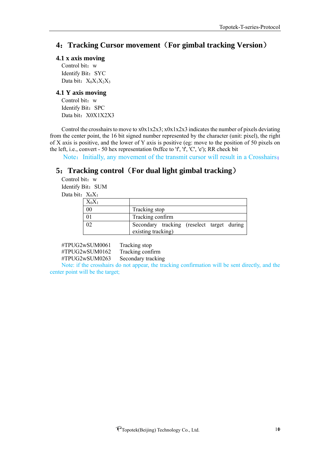## <span id="page-9-0"></span>**4**:**Tracking Cursor movement**(**For gimbal tracking Version**)

#### **4.1 x axis moving**

Control bit: w Identify Bit: SYC Data bit: X<sub>0</sub>X<sub>1</sub>X<sub>2</sub>X<sub>3</sub>

#### **4.1 Y axis moving**

Control bit: w Identify Bit: SPC Data bit: X0X1X2X3

Control the crosshairs to move to x0x1x2x3; x0x1x2x3 indicates the number of pixels deviating from the center point, the 16 bit signed number represented by the character (unit: pixel), the right of X axis is positive, and the lower of Y axis is positive (eg: move to the position of 50 pixels on the left, i.e., convert - 50 hex representation 0xffce to  $f'$ ,  $f'$ ,  $C'$ ,  $e'$ ); RR check bit

Note: Initially, any movement of the transmit cursor will result in a Crosshairs;

## <span id="page-9-1"></span>**5**:**Tracking control**(**For dual light gimbal tracking**)

Control bit: w Identify Bit: SUM Data bit:  $X_0X_1$ 

| $X_0X_1$ |                                                                  |  |  |  |
|----------|------------------------------------------------------------------|--|--|--|
| 00       | Tracking stop                                                    |  |  |  |
|          | Tracking confirm                                                 |  |  |  |
|          | Secondary tracking (reselect target during<br>existing tracking) |  |  |  |

#TPUG2wSUM0061 Tracking stop #TPUG2wSUM0162 Tracking confirm #TPUG2wSUM0263 Secondary tracking

Note: if the crosshairs do not appear, the tracking confirmation will be sent directly, and the center point will be the target;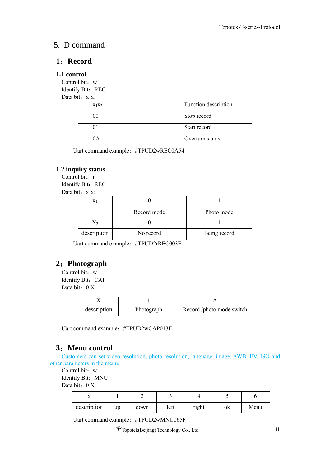## <span id="page-10-0"></span>5. D command

#### <span id="page-10-1"></span>**1**:**Record**

#### **1.1 control**

Control bit: w Identify Bit: REC Data bit:  $x_1x_2$ 

x<sub>1</sub>x<sub>2</sub> Function description 00 Stop record 01 Start record 0A Overturn status

Uart command example:#TPUD2wREC0A54

#### **1.2 inquiry status**

Control bit: r Identify Bit: REC

Data bit:  $x_1x_2$ 

| X <sub>1</sub> |             |              |
|----------------|-------------|--------------|
|                | Record mode | Photo mode   |
|                |             |              |
| description    | No record   | Being record |

Uart command example:#TPUD2rREC003E

## <span id="page-10-2"></span>**2**:**Photograph**

Control bit: w Identify Bit: CAP Data bit: 0 X

| description | Photograph | Record /photo mode switch |
|-------------|------------|---------------------------|

Uart command example:#TPUD2wCAP013E

## <span id="page-10-3"></span>**3**:**Menu control**

Customers can set video resolution, photo resolution, language, image, AWB, EV, ISO and other parameters in the menu.

Control bit: w

Identify Bit: MNU

Data bit: 0 X

| 48          |    |      |      |       |    |      |
|-------------|----|------|------|-------|----|------|
| description | up | down | left | right | ОK | Menu |

Uart command example:#TPUD2wMNU065F

PTopotek(Beijing) Technology Co., Ltd. 11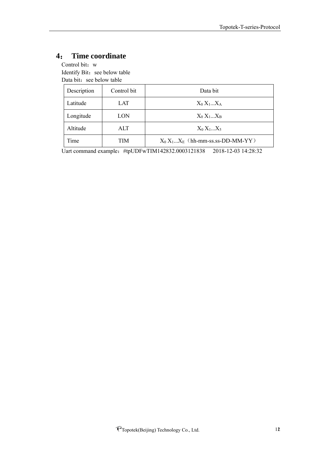# <span id="page-11-0"></span>**4**: **Time coordinate**

Control bit: w Identify Bit: see below table Data bit: see below table

| Description | Control bit | Data bit                            |
|-------------|-------------|-------------------------------------|
| Latitude    | LAT         | $X_0 X_1X_A$                        |
| Longitude   | LON         | $X_0 X_1X_B$                        |
| Altitude    | ALT         | $X_0 X_1X_5$                        |
| Time        | TIM         | $X_0 X_1X_E$ (hh-mm-ss.ss-DD-MM-YY) |

Uart command example:#tpUDFwTIM142832.0003121838 2018-12-03 14:28:32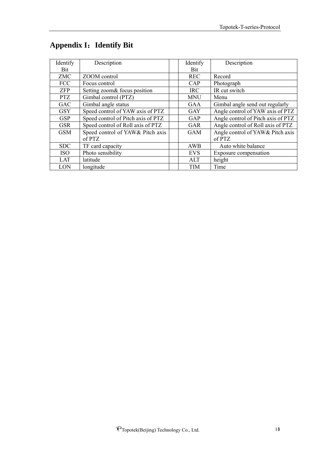| Identify   | Description                        | Identify   | Description                        |
|------------|------------------------------------|------------|------------------------------------|
| Bit        |                                    | <b>Bit</b> |                                    |
| <b>ZMC</b> | ZOOM control                       | <b>REC</b> | Record                             |
| <b>FCC</b> | Focus control                      | CAP        | Photograph                         |
| <b>ZFP</b> | Setting zoom& focus position       | <b>IRC</b> | IR cut switch                      |
| <b>PTZ</b> | Gimbal control (PTZ)               | <b>MNU</b> | Menu                               |
| <b>GAC</b> | Gimbal angle status                | <b>GAA</b> | Gimbal angle send out regularly    |
| <b>GSY</b> | Speed control of YAW axis of PTZ   | <b>GAY</b> | Angle control of YAW axis of PTZ   |
| <b>GSP</b> | Speed control of Pitch axis of PTZ | GAP        | Angle control of Pitch axis of PTZ |
| <b>GSR</b> | Speed control of Roll axis of PTZ  | <b>GAR</b> | Angle control of Roll axis of PTZ  |
| <b>GSM</b> | Speed control of YAW& Pitch axis   | <b>GAM</b> | Angle control of YAW& Pitch axis   |
|            | of PTZ                             |            | of PTZ                             |
| <b>SDC</b> | TF card capacity                   | AWB        | Auto white balance                 |
| <b>ISO</b> | Photo sensibility                  | <b>EVS</b> | Exposure compensation              |
| LAT        | latitude                           | ALT        | height                             |
| LON        | longitude                          | <b>TIM</b> | Time                               |

# <span id="page-12-0"></span>**Appendix I**:**Identify Bit**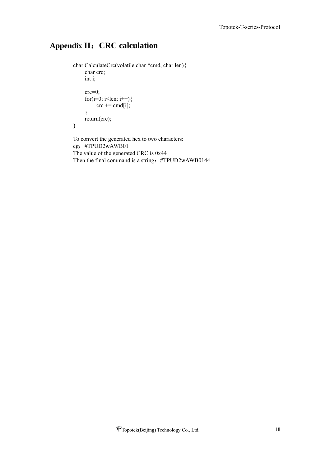# <span id="page-13-0"></span>**Appendix II**:**CRC calculation**

```
char CalculateCrc(volatile char *cmd, char len){ 
     char crc;
     int i;
     crc=0;
     for(i=0; i<len; i++){
           \text{crc} \mathrel{+}= \text{cmd}[i];}
     return(crc);
}
To convert the generated hex to two characters:
```
eg:#TPUD2wAWB01 The value of the generated CRC is 0x44 Then the final command is a string: #TPUD2wAWB0144